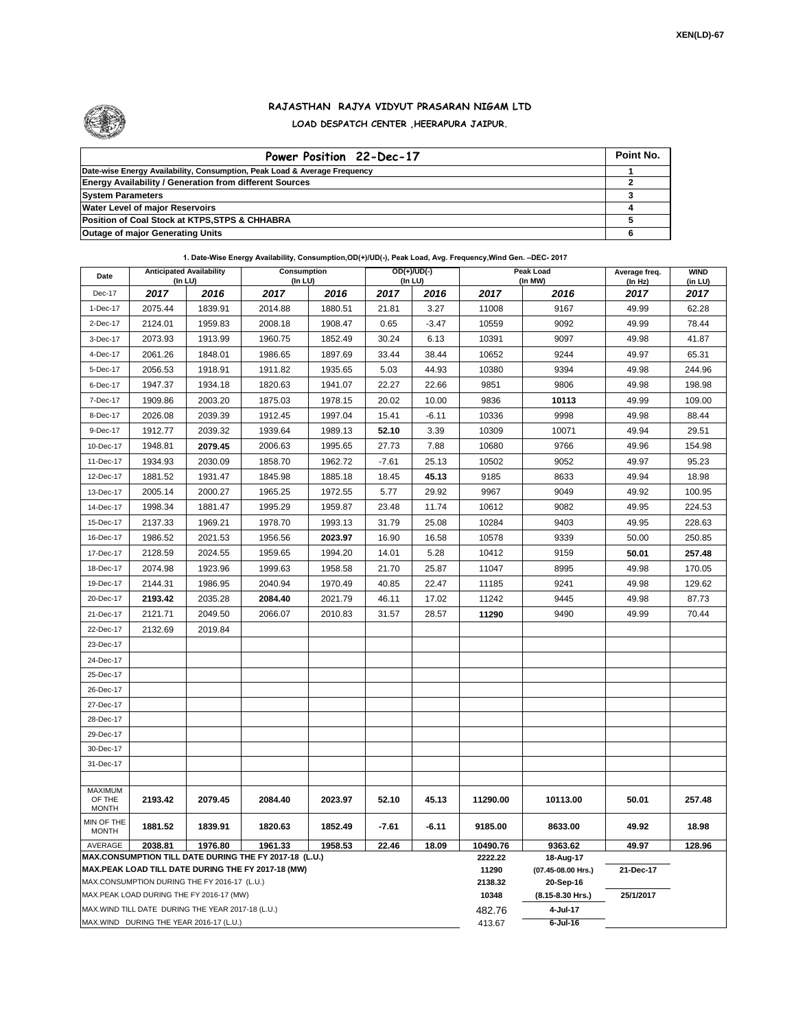

## **RAJASTHAN RAJYA VIDYUT PRASARAN NIGAM LTD LOAD DESPATCH CENTER ,HEERAPURA JAIPUR.**

| Power Position 22-Dec-17                                                  | Point No. |
|---------------------------------------------------------------------------|-----------|
| Date-wise Energy Availability, Consumption, Peak Load & Average Frequency |           |
| <b>Energy Availability / Generation from different Sources</b>            |           |
| <b>System Parameters</b>                                                  |           |
| <b>Water Level of major Reservoirs</b>                                    |           |
| Position of Coal Stock at KTPS, STPS & CHHABRA                            |           |
| <b>Outage of major Generating Units</b>                                   |           |

## **1. Date-Wise Energy Availability, Consumption,OD(+)/UD(-), Peak Load, Avg. Frequency,Wind Gen. –DEC- 2017**

| Date                                                                                                         | <b>Anticipated Availability</b><br>(In LU) |         | Consumption<br>(In LU) |         | $OD(+)/UD(-)$<br>(In LU) |         |                  | Peak Load<br>(In MW)            | Average freq.<br>(In Hz) | <b>WIND</b><br>(in LU) |
|--------------------------------------------------------------------------------------------------------------|--------------------------------------------|---------|------------------------|---------|--------------------------|---------|------------------|---------------------------------|--------------------------|------------------------|
| Dec-17                                                                                                       | 2017                                       | 2016    | 2017                   | 2016    | 2017                     | 2016    | 2017             | 2016                            | 2017                     | 2017                   |
| 1-Dec-17                                                                                                     | 2075.44                                    | 1839.91 | 2014.88                | 1880.51 | 21.81                    | 3.27    | 11008            | 9167                            | 49.99                    | 62.28                  |
| 2-Dec-17                                                                                                     | 2124.01                                    | 1959.83 | 2008.18                | 1908.47 | 0.65                     | $-3.47$ | 10559            | 9092                            | 49.99                    | 78.44                  |
| 3-Dec-17                                                                                                     | 2073.93                                    | 1913.99 | 1960.75                | 1852.49 | 30.24                    | 6.13    | 10391            | 9097                            | 49.98                    | 41.87                  |
| 4-Dec-17                                                                                                     | 2061.26                                    | 1848.01 | 1986.65                | 1897.69 | 33.44                    | 38.44   | 10652            | 9244                            | 49.97                    | 65.31                  |
| 5-Dec-17                                                                                                     | 2056.53                                    | 1918.91 | 1911.82                | 1935.65 | 5.03                     | 44.93   | 10380            | 9394                            | 49.98                    | 244.96                 |
| 6-Dec-17                                                                                                     | 1947.37                                    | 1934.18 | 1820.63                | 1941.07 | 22.27                    | 22.66   | 9851             | 9806                            | 49.98                    | 198.98                 |
| 7-Dec-17                                                                                                     | 1909.86                                    | 2003.20 | 1875.03                | 1978.15 | 20.02                    | 10.00   | 9836             | 10113                           | 49.99                    | 109.00                 |
| 8-Dec-17                                                                                                     | 2026.08                                    | 2039.39 | 1912.45                | 1997.04 | 15.41                    | $-6.11$ | 10336            | 9998                            | 49.98                    | 88.44                  |
| 9-Dec-17                                                                                                     | 1912.77                                    | 2039.32 | 1939.64                | 1989.13 | 52.10                    | 3.39    | 10309            | 10071                           | 49.94                    | 29.51                  |
| 10-Dec-17                                                                                                    | 1948.81                                    | 2079.45 | 2006.63                | 1995.65 | 27.73                    | 7.88    | 10680            | 9766                            | 49.96                    | 154.98                 |
| 11-Dec-17                                                                                                    | 1934.93                                    | 2030.09 | 1858.70                | 1962.72 | $-7.61$                  | 25.13   | 10502            | 9052                            | 49.97                    | 95.23                  |
| 12-Dec-17                                                                                                    | 1881.52                                    | 1931.47 | 1845.98                | 1885.18 | 18.45                    | 45.13   | 9185             | 8633                            | 49.94                    | 18.98                  |
| 13-Dec-17                                                                                                    | 2005.14                                    | 2000.27 | 1965.25                | 1972.55 | 5.77                     | 29.92   | 9967             | 9049                            | 49.92                    | 100.95                 |
| 14-Dec-17                                                                                                    | 1998.34                                    | 1881.47 | 1995.29                | 1959.87 | 23.48                    | 11.74   | 10612            | 9082                            | 49.95                    | 224.53                 |
| 15-Dec-17                                                                                                    | 2137.33                                    | 1969.21 | 1978.70                | 1993.13 | 31.79                    | 25.08   | 10284            | 9403                            | 49.95                    | 228.63                 |
| 16-Dec-17                                                                                                    | 1986.52                                    | 2021.53 | 1956.56                | 2023.97 | 16.90                    | 16.58   | 10578            | 9339                            | 50.00                    | 250.85                 |
| 17-Dec-17                                                                                                    | 2128.59                                    | 2024.55 | 1959.65                | 1994.20 | 14.01                    | 5.28    | 10412            | 9159                            | 50.01                    | 257.48                 |
| 18-Dec-17                                                                                                    | 2074.98                                    | 1923.96 | 1999.63                | 1958.58 | 21.70                    | 25.87   | 11047            | 8995                            | 49.98                    | 170.05                 |
| 19-Dec-17                                                                                                    | 2144.31                                    | 1986.95 | 2040.94                | 1970.49 | 40.85                    | 22.47   | 11185            | 9241                            | 49.98                    | 129.62                 |
| 20-Dec-17                                                                                                    | 2193.42                                    | 2035.28 | 2084.40                | 2021.79 | 46.11                    | 17.02   | 11242            | 9445                            | 49.98                    | 87.73                  |
| 21-Dec-17                                                                                                    | 2121.71                                    | 2049.50 | 2066.07                | 2010.83 | 31.57                    | 28.57   | 11290            | 9490                            | 49.99                    | 70.44                  |
| 22-Dec-17                                                                                                    | 2132.69                                    | 2019.84 |                        |         |                          |         |                  |                                 |                          |                        |
| 23-Dec-17                                                                                                    |                                            |         |                        |         |                          |         |                  |                                 |                          |                        |
| 24-Dec-17                                                                                                    |                                            |         |                        |         |                          |         |                  |                                 |                          |                        |
| 25-Dec-17                                                                                                    |                                            |         |                        |         |                          |         |                  |                                 |                          |                        |
| 26-Dec-17                                                                                                    |                                            |         |                        |         |                          |         |                  |                                 |                          |                        |
| 27-Dec-17                                                                                                    |                                            |         |                        |         |                          |         |                  |                                 |                          |                        |
| 28-Dec-17                                                                                                    |                                            |         |                        |         |                          |         |                  |                                 |                          |                        |
| 29-Dec-17                                                                                                    |                                            |         |                        |         |                          |         |                  |                                 |                          |                        |
| 30-Dec-17                                                                                                    |                                            |         |                        |         |                          |         |                  |                                 |                          |                        |
| 31-Dec-17                                                                                                    |                                            |         |                        |         |                          |         |                  |                                 |                          |                        |
| <b>MAXIMUM</b>                                                                                               |                                            |         |                        |         |                          |         |                  |                                 |                          |                        |
| OF THE<br><b>MONTH</b>                                                                                       | 2193.42                                    | 2079.45 | 2084.40                | 2023.97 | 52.10                    | 45.13   | 11290.00         | 10113.00                        | 50.01                    | 257.48                 |
| MIN OF THE<br><b>MONTH</b>                                                                                   | 1881.52                                    | 1839.91 | 1820.63                | 1852.49 | $-7.61$                  | $-6.11$ | 9185.00          | 8633.00                         | 49.92                    | 18.98                  |
| AVERAGE<br>1976.80<br>2038.81<br>1961.33<br>1958.53<br>22.46<br>18.09                                        |                                            |         |                        |         |                          |         | 10490.76         | 9363.62                         | 49.97                    | 128.96                 |
| MAX.CONSUMPTION TILL DATE DURING THE FY 2017-18 (L.U.)<br>MAX.PEAK LOAD TILL DATE DURING THE FY 2017-18 (MW) |                                            |         |                        |         |                          |         | 2222.22<br>11290 | 18-Aug-17<br>(07.45-08.00 Hrs.) | 21-Dec-17                |                        |
| MAX.CONSUMPTION DURING THE FY 2016-17 (L.U.)                                                                 |                                            |         |                        |         |                          |         | 2138.32          | 20-Sep-16                       |                          |                        |
| MAX.PEAK LOAD DURING THE FY 2016-17 (MW)                                                                     |                                            |         |                        |         |                          |         | 10348            | (8.15-8.30 Hrs.)                | 25/1/2017                |                        |
| MAX. WIND TILL DATE DURING THE YEAR 2017-18 (L.U.)                                                           |                                            |         |                        |         |                          |         | 482.76           | 4-Jul-17                        |                          |                        |
| MAX.WIND DURING THE YEAR 2016-17 (L.U.)                                                                      |                                            |         |                        |         |                          |         | 413.67           | $6$ -Jul-16                     |                          |                        |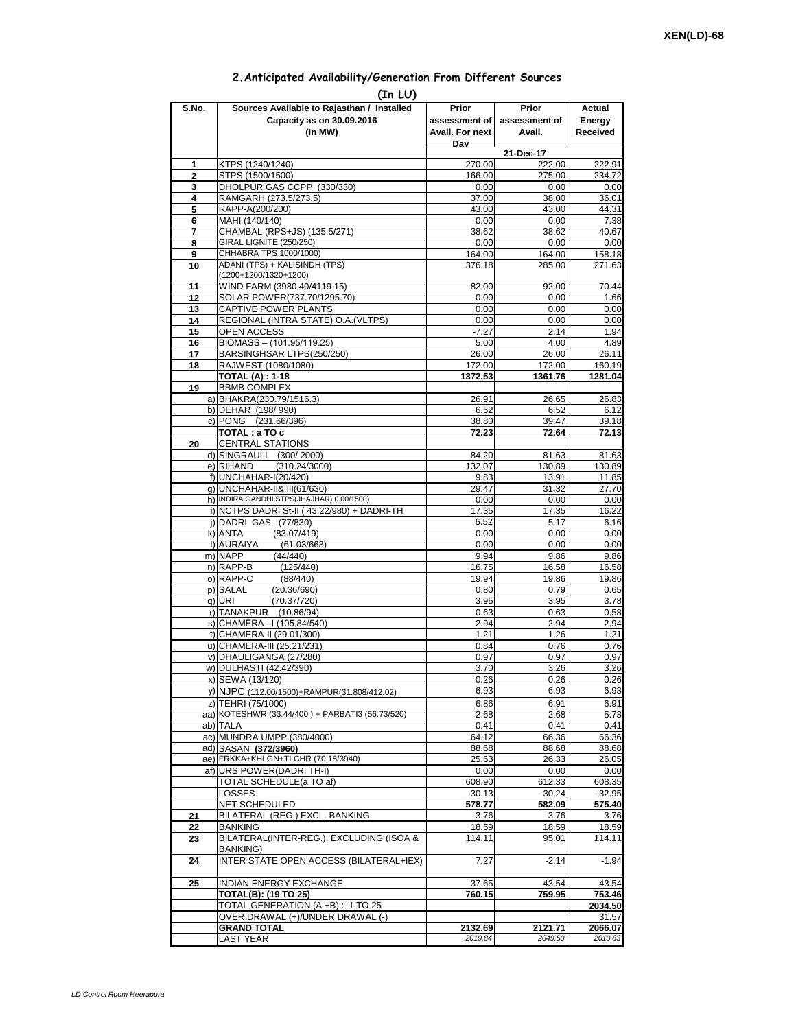## **2.Anticipated Availability/Generation From Different Sources**

| (In LU)        |                                                                                          |                    |                    |                    |  |  |  |  |  |
|----------------|------------------------------------------------------------------------------------------|--------------------|--------------------|--------------------|--|--|--|--|--|
| S.No.          | Sources Available to Rajasthan / Installed                                               | Prior              | Prior              | Actual             |  |  |  |  |  |
|                | Capacity as on 30.09.2016                                                                | assessment of I    | assessment of      | Energy             |  |  |  |  |  |
|                | (In MW)                                                                                  | Avail. For next    | Avail.             | Received           |  |  |  |  |  |
|                |                                                                                          | Dav                | 21-Dec-17          |                    |  |  |  |  |  |
| 1              | KTPS (1240/1240)                                                                         | 270.00             | 222.00             | 222.91             |  |  |  |  |  |
| $\overline{2}$ | STPS (1500/1500)                                                                         | 166.00             | 275.00             | 234.72             |  |  |  |  |  |
| 3              | DHOLPUR GAS CCPP (330/330)                                                               | 0.00               | 0.00               | 0.00               |  |  |  |  |  |
| 4<br>5         | RAMGARH (273.5/273.5)<br>RAPP-A(200/200)                                                 | 37.00<br>43.00     | 38.00<br>43.00     | 36.01<br>44.31     |  |  |  |  |  |
| 6              | MAHI (140/140)                                                                           | 0.00               | 0.00               | 7.38               |  |  |  |  |  |
| 7              | CHAMBAL (RPS+JS) (135.5/271)                                                             | 38.62              | 38.62              | 40.67              |  |  |  |  |  |
| 8              | GIRAL LIGNITE (250/250)<br>CHHABRA TPS 1000/1000)                                        | 0.00               | 0.00               | 0.00               |  |  |  |  |  |
| 9<br>10        | ADANI (TPS) + KALISINDH (TPS)                                                            | 164.00<br>376.18   | 164.00<br>285.00   | 158.18<br>271.63   |  |  |  |  |  |
|                | (1200+1200/1320+1200)                                                                    |                    |                    |                    |  |  |  |  |  |
| 11             | WIND FARM (3980.40/4119.15)                                                              | 82.00              | 92.00              | 70.44              |  |  |  |  |  |
| 12             | SOLAR POWER(737.70/1295.70)                                                              | 0.00               | 0.00               | 1.66               |  |  |  |  |  |
| 13<br>14       | CAPTIVE POWER PLANTS<br>REGIONAL (INTRA STATE) O.A. (VLTPS)                              | 0.00<br>0.00       | 0.00<br>0.00       | 0.00<br>0.00       |  |  |  |  |  |
| 15             | <b>OPEN ACCESS</b>                                                                       | $-7.27$            | 2.14               | 1.94               |  |  |  |  |  |
| 16             | BIOMASS - (101.95/119.25)                                                                | 5.00               | 4.00               | 4.89               |  |  |  |  |  |
| 17             | BARSINGHSAR LTPS(250/250)                                                                | 26.00              | 26.00              | 26.11              |  |  |  |  |  |
| 18             | RAJWEST (1080/1080)                                                                      | 172.00             | 172.00             | 160.19             |  |  |  |  |  |
| 19             | <b>TOTAL (A): 1-18</b><br><b>BBMB COMPLEX</b>                                            | 1372.53            | 1361.76            | 1281.04            |  |  |  |  |  |
|                | a) BHAKRA(230.79/1516.3)                                                                 | 26.91              | 26.65              | 26.83              |  |  |  |  |  |
|                | b) DEHAR (198/990)                                                                       | 6.52               | 6.52               | 6.12               |  |  |  |  |  |
|                | c) PONG (231.66/396)                                                                     | 38.80              | 39.47              | 39.18              |  |  |  |  |  |
|                | TOTAL: a TO c                                                                            | 72.23              | 72.64              | 72.13              |  |  |  |  |  |
| 20             | <b>CENTRAL STATIONS</b><br>d) SINGRAULI (300/2000)                                       | 84.20              | 81.63              | 81.63              |  |  |  |  |  |
|                | e) RIHAND<br>(310.24/3000)                                                               | 132.07             | 130.89             | 130.89             |  |  |  |  |  |
|                | f) UNCHAHAR-I(20/420)                                                                    | 9.83               | 13.91              | 11.85              |  |  |  |  |  |
|                | g) UNCHAHAR-II& III(61/630)                                                              | 29.47              | 31.32              | 27.70              |  |  |  |  |  |
|                | h) INDIRA GANDHI STPS(JHAJHAR) 0.00/1500)<br>i) NCTPS DADRI St-II (43.22/980) + DADRI-TH | 0.00<br>17.35      | 0.00<br>17.35      | 0.00               |  |  |  |  |  |
|                | j) DADRI GAS (77/830)                                                                    | 6.52               | 5.17               | 16.22<br>6.16      |  |  |  |  |  |
|                | (83.07/419)<br>k) ANTA                                                                   | 0.00               | 0.00               | 0.00               |  |  |  |  |  |
|                | I) AURAIYA<br>(61.03/663)                                                                | 0.00               | 0.00               | 0.00               |  |  |  |  |  |
|                | m) NAPP<br>(44/440)                                                                      | 9.94               | 9.86               | 9.86               |  |  |  |  |  |
|                | n) RAPP-B<br>(125/440)<br>o) RAPP-C<br>(88/440)                                          | 16.75<br>19.94     | 16.58<br>19.86     | 16.58<br>19.86     |  |  |  |  |  |
|                | p) SALAL<br>(20.36/690)                                                                  | 0.80               | 0.79               | 0.65               |  |  |  |  |  |
|                | q) URI<br>(70.37/720)                                                                    | 3.95               | 3.95               | 3.78               |  |  |  |  |  |
|                | r) TANAKPUR (10.86/94)                                                                   | 0.63               | 0.63               | 0.58               |  |  |  |  |  |
|                | s) CHAMERA - (105.84/540)<br>t) CHAMERA-II (29.01/300)                                   | 2.94<br>1.21       | 2.94<br>1.26       | 2.94<br>1.21       |  |  |  |  |  |
|                | u) CHAMERA-III (25.21/231)                                                               | 0.84               | 0.76               | 0.76               |  |  |  |  |  |
|                | v) DHAULIGANGA (27/280)                                                                  | 0.97               | 0.97               | 0.97               |  |  |  |  |  |
|                | w) DULHASTI (42.42/390)                                                                  | 3.70               | 3.26               | 3.26               |  |  |  |  |  |
|                | x) SEWA (13/120)                                                                         | 0.26               | 0.26               | 0.26               |  |  |  |  |  |
|                | y) NJPC (112.00/1500)+RAMPUR(31.808/412.02)                                              | 6.93               | 6.93               | 6.93               |  |  |  |  |  |
|                | z) TEHRI (75/1000)<br>aa) KOTESHWR (33.44/400) + PARBATI3 (56.73/520)                    | 6.86<br>2.68       | 6.91<br>2.68       | 6.91<br>5.73       |  |  |  |  |  |
|                | ab) TALA                                                                                 | 0.41               | 0.41               | 0.41               |  |  |  |  |  |
|                | ac) MUNDRA UMPP (380/4000)                                                               | 64.12              | 66.36              | 66.36              |  |  |  |  |  |
|                | ad) SASAN (372/3960)                                                                     | 88.68              | 88.68              | 88.68              |  |  |  |  |  |
|                | ae) FRKKA+KHLGN+TLCHR (70.18/3940)                                                       | 25.63              | 26.33              | 26.05              |  |  |  |  |  |
|                | af) URS POWER(DADRITH-I)<br>TOTAL SCHEDULE(a TO af)                                      | 0.00<br>608.90     | 0.00<br>612.33     | 0.00               |  |  |  |  |  |
|                | LOSSES                                                                                   | $-30.13$           | $-30.24$           | 608.35<br>$-32.95$ |  |  |  |  |  |
|                | <b>NET SCHEDULED</b>                                                                     | 578.77             | 582.09             | 575.40             |  |  |  |  |  |
| 21             | BILATERAL (REG.) EXCL. BANKING                                                           | 3.76               | 3.76               | 3.76               |  |  |  |  |  |
| 22             | BANKING                                                                                  | 18.59              | 18.59              | 18.59              |  |  |  |  |  |
| 23             | BILATERAL(INTER-REG.). EXCLUDING (ISOA &<br>BANKING)                                     | 114.11             | 95.01              | 114.11             |  |  |  |  |  |
| 24             | INTER STATE OPEN ACCESS (BILATERAL+IEX)                                                  | 7.27               | $-2.14$            | $-1.94$            |  |  |  |  |  |
| 25             | <b>INDIAN ENERGY EXCHANGE</b>                                                            | 37.65              | 43.54              | 43.54              |  |  |  |  |  |
|                | <b>TOTAL(B): (19 TO 25)</b>                                                              | 760.15             | 759.95             | 753.46             |  |  |  |  |  |
|                | TOTAL GENERATION (A +B) : 1 TO 25                                                        |                    |                    | 2034.50            |  |  |  |  |  |
|                | OVER DRAWAL (+)/UNDER DRAWAL (-)                                                         |                    |                    | 31.57              |  |  |  |  |  |
|                | <b>GRAND TOTAL</b><br>LAST YEAR                                                          | 2132.69<br>2019.84 | 2121.71<br>2049.50 | 2066.07<br>2010.83 |  |  |  |  |  |
|                |                                                                                          |                    |                    |                    |  |  |  |  |  |